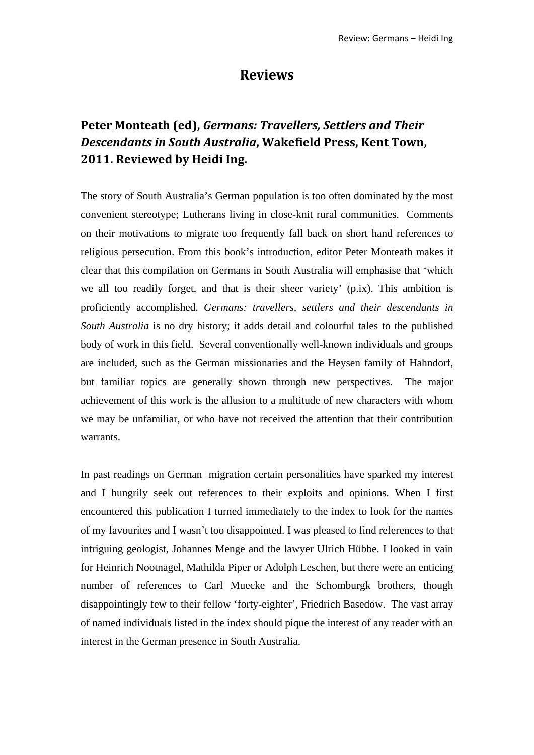## **Reviews**

## **Peter Monteath (ed),** *Germans: Travellers, Settlers and Their Descendants in South Australia***, Wakefield Press, Kent Town, 2011. Reviewed by Heidi Ing.**

The story of South Australia's German population is too often dominated by the most convenient stereotype; Lutherans living in close-knit rural communities. Comments on their motivations to migrate too frequently fall back on short hand references to religious persecution. From this book's introduction, editor Peter Monteath makes it clear that this compilation on Germans in South Australia will emphasise that 'which we all too readily forget, and that is their sheer variety' (p.ix). This ambition is proficiently accomplished. *Germans: travellers, settlers and their descendants in South Australia* is no dry history; it adds detail and colourful tales to the published body of work in this field. Several conventionally well-known individuals and groups are included, such as the German missionaries and the Heysen family of Hahndorf, but familiar topics are generally shown through new perspectives. The major achievement of this work is the allusion to a multitude of new characters with whom we may be unfamiliar, or who have not received the attention that their contribution warrants.

In past readings on German migration certain personalities have sparked my interest and I hungrily seek out references to their exploits and opinions. When I first encountered this publication I turned immediately to the index to look for the names of my favourites and I wasn't too disappointed. I was pleased to find references to that intriguing geologist, Johannes Menge and the lawyer Ulrich Hübbe. I looked in vain for Heinrich Nootnagel, Mathilda Piper or Adolph Leschen, but there were an enticing number of references to Carl Muecke and the Schomburgk brothers, though disappointingly few to their fellow 'forty-eighter', Friedrich Basedow. The vast array of named individuals listed in the index should pique the interest of any reader with an interest in the German presence in South Australia.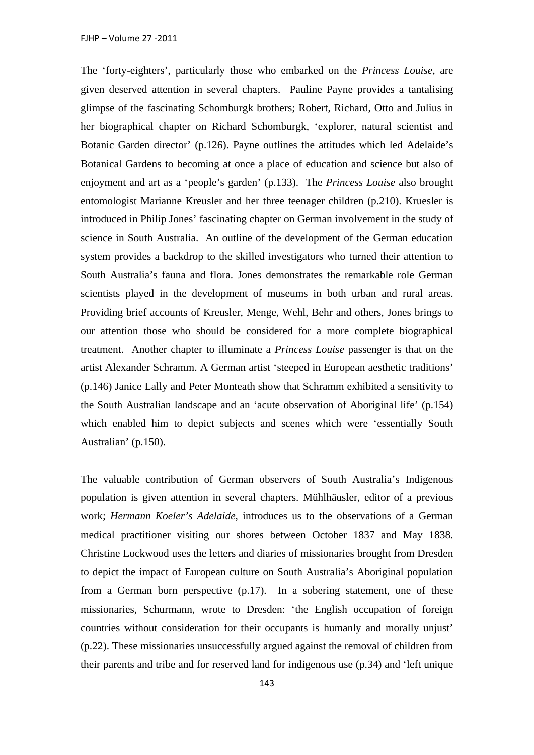The 'forty-eighters', particularly those who embarked on the *Princess Louise*, are given deserved attention in several chapters. Pauline Payne provides a tantalising glimpse of the fascinating Schomburgk brothers; Robert, Richard, Otto and Julius in her biographical chapter on Richard Schomburgk, 'explorer, natural scientist and Botanic Garden director' (p.126). Payne outlines the attitudes which led Adelaide's Botanical Gardens to becoming at once a place of education and science but also of enjoyment and art as a 'people's garden' (p.133). The *Princess Louise* also brought entomologist Marianne Kreusler and her three teenager children (p.210). Kruesler is introduced in Philip Jones' fascinating chapter on German involvement in the study of science in South Australia. An outline of the development of the German education system provides a backdrop to the skilled investigators who turned their attention to South Australia's fauna and flora. Jones demonstrates the remarkable role German scientists played in the development of museums in both urban and rural areas. Providing brief accounts of Kreusler, Menge, Wehl, Behr and others, Jones brings to our attention those who should be considered for a more complete biographical treatment. Another chapter to illuminate a *Princess Louise* passenger is that on the artist Alexander Schramm. A German artist 'steeped in European aesthetic traditions' (p.146) Janice Lally and Peter Monteath show that Schramm exhibited a sensitivity to the South Australian landscape and an 'acute observation of Aboriginal life' (p.154) which enabled him to depict subjects and scenes which were 'essentially South Australian' (p.150).

The valuable contribution of German observers of South Australia's Indigenous population is given attention in several chapters. Mühlhäusler, editor of a previous work; *Hermann Koeler's Adelaide*, introduces us to the observations of a German medical practitioner visiting our shores between October 1837 and May 1838. Christine Lockwood uses the letters and diaries of missionaries brought from Dresden to depict the impact of European culture on South Australia's Aboriginal population from a German born perspective (p.17). In a sobering statement, one of these missionaries, Schurmann, wrote to Dresden: 'the English occupation of foreign countries without consideration for their occupants is humanly and morally unjust' (p.22). These missionaries unsuccessfully argued against the removal of children from their parents and tribe and for reserved land for indigenous use (p.34) and 'left unique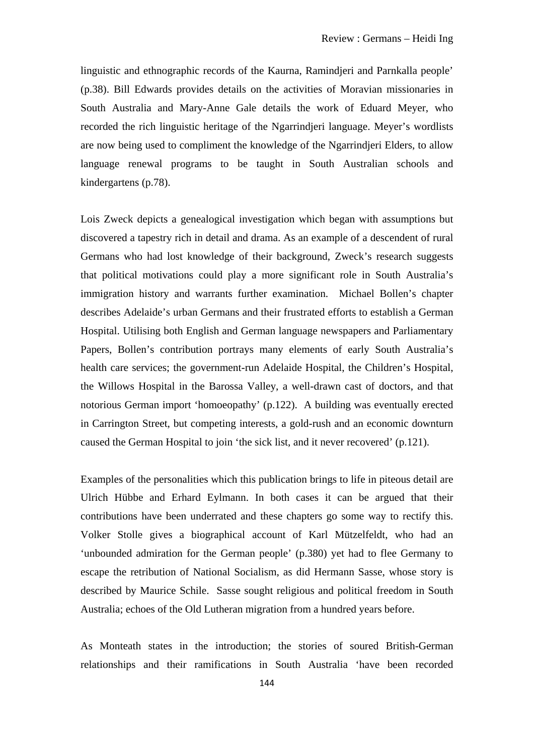linguistic and ethnographic records of the Kaurna, Ramindjeri and Parnkalla people' (p.38). Bill Edwards provides details on the activities of Moravian missionaries in South Australia and Mary-Anne Gale details the work of Eduard Meyer, who recorded the rich linguistic heritage of the Ngarrindjeri language. Meyer's wordlists are now being used to compliment the knowledge of the Ngarrindjeri Elders, to allow language renewal programs to be taught in South Australian schools and kindergartens (p.78).

Lois Zweck depicts a genealogical investigation which began with assumptions but discovered a tapestry rich in detail and drama. As an example of a descendent of rural Germans who had lost knowledge of their background, Zweck's research suggests that political motivations could play a more significant role in South Australia's immigration history and warrants further examination. Michael Bollen's chapter describes Adelaide's urban Germans and their frustrated efforts to establish a German Hospital. Utilising both English and German language newspapers and Parliamentary Papers, Bollen's contribution portrays many elements of early South Australia's health care services; the government-run Adelaide Hospital, the Children's Hospital, the Willows Hospital in the Barossa Valley, a well-drawn cast of doctors, and that notorious German import 'homoeopathy' (p.122). A building was eventually erected in Carrington Street, but competing interests, a gold-rush and an economic downturn caused the German Hospital to join 'the sick list, and it never recovered' (p.121).

Examples of the personalities which this publication brings to life in piteous detail are Ulrich Hübbe and Erhard Eylmann. In both cases it can be argued that their contributions have been underrated and these chapters go some way to rectify this. Volker Stolle gives a biographical account of Karl Mützelfeldt, who had an 'unbounded admiration for the German people' (p.380) yet had to flee Germany to escape the retribution of National Socialism, as did Hermann Sasse, whose story is described by Maurice Schile. Sasse sought religious and political freedom in South Australia; echoes of the Old Lutheran migration from a hundred years before.

As Monteath states in the introduction; the stories of soured British-German relationships and their ramifications in South Australia 'have been recorded